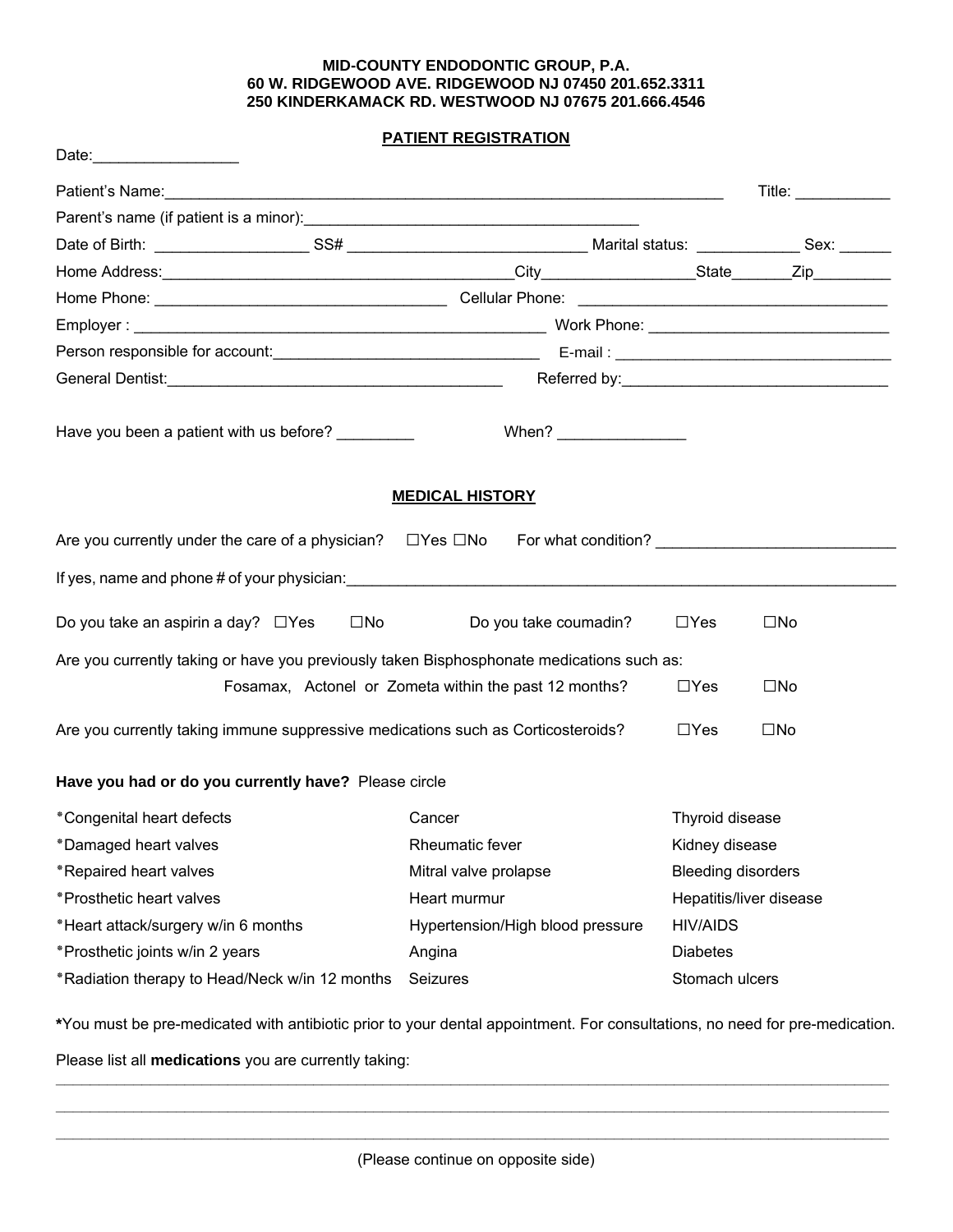## **MID-COUNTY ENDODONTIC GROUP, P.A. 60 W. RIDGEWOOD AVE. RIDGEWOOD NJ 07450 201.652.3311 250 KINDERKAMACK RD. WESTWOOD NJ 07675 201.666.4546**

## **PATIENT REGISTRATION**

|                                                                                                 |                                                                                                                                                                                                                                                                               |                           | Title: $\qquad \qquad$ |  |  |  |
|-------------------------------------------------------------------------------------------------|-------------------------------------------------------------------------------------------------------------------------------------------------------------------------------------------------------------------------------------------------------------------------------|---------------------------|------------------------|--|--|--|
|                                                                                                 |                                                                                                                                                                                                                                                                               |                           |                        |  |  |  |
|                                                                                                 |                                                                                                                                                                                                                                                                               |                           |                        |  |  |  |
|                                                                                                 |                                                                                                                                                                                                                                                                               |                           |                        |  |  |  |
|                                                                                                 |                                                                                                                                                                                                                                                                               |                           |                        |  |  |  |
|                                                                                                 |                                                                                                                                                                                                                                                                               |                           |                        |  |  |  |
|                                                                                                 |                                                                                                                                                                                                                                                                               |                           |                        |  |  |  |
|                                                                                                 |                                                                                                                                                                                                                                                                               |                           |                        |  |  |  |
| Have you been a patient with us before? ________                                                | When? $\frac{1}{2}$ Minimum $\frac{1}{2}$ Minimum $\frac{1}{2}$ Minimum $\frac{1}{2}$ Minimum $\frac{1}{2}$ Minimum $\frac{1}{2}$ Minimum $\frac{1}{2}$ Minimum $\frac{1}{2}$ Minimum $\frac{1}{2}$ Minimum $\frac{1}{2}$ Minimum $\frac{1}{2}$ Minimum $\frac{1}{2}$ Minimum |                           |                        |  |  |  |
|                                                                                                 | <b>MEDICAL HISTORY</b>                                                                                                                                                                                                                                                        |                           |                        |  |  |  |
| Are you currently under the care of a physician? $\square$ Yes $\square$ No For what condition? |                                                                                                                                                                                                                                                                               |                           |                        |  |  |  |
|                                                                                                 |                                                                                                                                                                                                                                                                               |                           |                        |  |  |  |
| Do you take an aspirin a day? $\Box$ Yes<br>$\square$ No                                        | Do you take coumadin?                                                                                                                                                                                                                                                         | $\Box$ Yes                | $\square$ No           |  |  |  |
| Are you currently taking or have you previously taken Bisphosphonate medications such as:       |                                                                                                                                                                                                                                                                               |                           |                        |  |  |  |
|                                                                                                 | Fosamax, Actonel or Zometa within the past 12 months?                                                                                                                                                                                                                         | $\Box$ Yes                | $\square$ No           |  |  |  |
| Are you currently taking immune suppressive medications such as Corticosteroids?                |                                                                                                                                                                                                                                                                               | $\Box$ Yes                | $\square$ No           |  |  |  |
| Have you had or do you currently have? Please circle                                            |                                                                                                                                                                                                                                                                               |                           |                        |  |  |  |
| *Congenital heart defects                                                                       | Cancer                                                                                                                                                                                                                                                                        | Thyroid disease           |                        |  |  |  |
| *Damaged heart valves                                                                           | Rheumatic fever                                                                                                                                                                                                                                                               | Kidney disease            |                        |  |  |  |
| *Repaired heart valves                                                                          | Mitral valve prolapse                                                                                                                                                                                                                                                         | <b>Bleeding disorders</b> |                        |  |  |  |
| *Prosthetic heart valves                                                                        | Heart murmur                                                                                                                                                                                                                                                                  | Hepatitis/liver disease   |                        |  |  |  |
| *Heart attack/surgery w/in 6 months                                                             | Hypertension/High blood pressure                                                                                                                                                                                                                                              | <b>HIV/AIDS</b>           |                        |  |  |  |
| *Prosthetic joints w/in 2 years                                                                 | Angina                                                                                                                                                                                                                                                                        | <b>Diabetes</b>           |                        |  |  |  |
| *Radiation therapy to Head/Neck w/in 12 months                                                  | Seizures                                                                                                                                                                                                                                                                      | Stomach ulcers            |                        |  |  |  |

**\***You must be pre-medicated with antibiotic prior to your dental appointment. For consultations, no need for pre-medication.

**\_\_\_\_\_\_\_\_\_\_\_\_\_\_\_\_\_\_\_\_\_\_\_\_\_\_\_\_\_\_\_\_\_\_\_\_\_\_\_\_\_\_\_\_\_\_\_\_\_\_\_\_\_\_\_\_\_\_\_\_\_\_\_\_\_\_\_\_\_\_\_\_\_\_\_\_\_\_\_\_\_\_\_\_\_\_\_\_\_\_\_\_\_\_\_\_\_ \_\_\_\_\_\_\_\_\_\_\_\_\_\_\_\_\_\_\_\_\_\_\_\_\_\_\_\_\_\_\_\_\_\_\_\_\_\_\_\_\_\_\_\_\_\_\_\_\_\_\_\_\_\_\_\_\_\_\_\_\_\_\_\_\_\_\_\_\_\_\_\_\_\_\_\_\_\_\_\_\_\_\_\_\_\_\_\_\_\_\_\_\_\_\_\_\_**

Please list all **medications** you are currently taking: